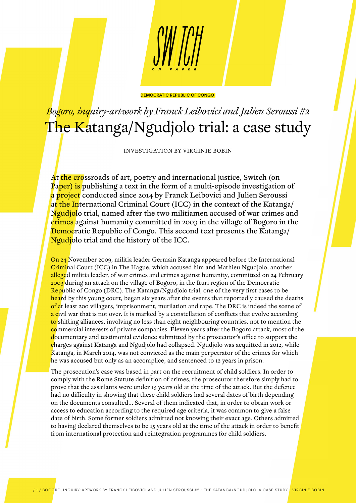

# *Bogoro, inquiry-artwork by Franck Leibovici and Julien Seroussi #2* The Katanga/Ngudjolo trial: a case study

INVESTIGATION BY VIRGINIE BOBIN

At the crossroads of art, poetry and international justice, Switch (on Paper) is publishing a text in the form of a multi-episode investigation of a project conducted since 2014 by Franck Leibovici and Julien Seroussi at the International Criminal Court (ICC) in the context of the Katanga/ Ngudjolo trial, named after the two militiamen accused of war crimes and crimes against humanity committed in 2003 in the village of Bogoro in the Democratic Republic of Congo. This second text presents the Katanga/ Ngudjolo trial and the history of the ICC.

On 24 November 2009, militia leader Germain Katanga appeared before the International Criminal Court (ICC) in The Hague, which accused him and Mathieu Ngudjolo, another alleged militia leader, of war crimes and crimes against humanity, committed on 24 February 2003 during an attack on the village of Bogoro, in the Ituri region of the Democratic Republic of Congo (DRC). The Katanga/Ngudjolo trial, one of the very first cases to be heard by this young court, began six years after the events that reportedly caused the deaths of at least 200 villagers, imprisonment, mutilation and rape. The DRC is indeed the scene of a civil war that is not over. It is marked by a constellation of conflicts that evolve according to shifting alliances, involving no less than eight neighbouring countries, not to mention the commercial interests of private companies. Eleven years after the Bogoro attack, most of the documentary and testimonial evidence submitted by the prosecutor's office to support the charges against Katanga and Ngudjolo had collapsed. Ngudjolo was acquitted in 2012, while Katanga, in March 2014, was not convicted as the main perpetrator of the crimes for which he was accused but only as an accomplice, and sentenced to 12 years in prison.

The prosecution's case was based in part on the recruitment of child soldiers. In order to comply with the Rome Statute definition of crimes, the prosecutor therefore simply had to prove that the assailants were under 15 years old at the time of the attack. But the defence had no difficulty in showing that these child soldiers had several dates of birth depending on the documents consulted... Several of them indicated that, in order to obtain work or access to education according to the required age criteria, it was common to give a false date of birth. Some former soldiers admitted not knowing their exact age. Others admitted to having declared themselves to be 15 years old at the time of the attack in order to benefit from international protection and reintegration programmes for child soldiers.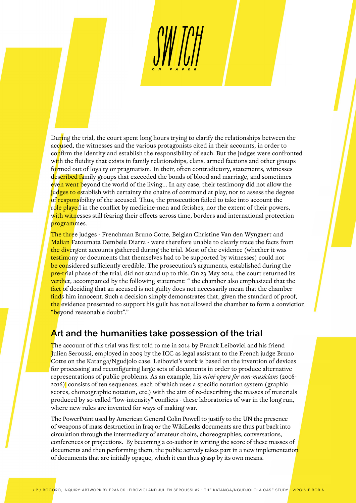During the trial, the court spent long hours trying to clarify the relationships between the accused, the witnesses and the various protagonists cited in their accounts, in order to confirm the identity and establish the responsibility of each. But the judges were confronted with the fluidity that exists in family relationships, clans, armed factions and other groups formed out of loyalty or pragmatism. In their, often contradictory, statements, witnesses described family groups that exceeded the bonds of blood and marriage, and sometimes even went beyond the world of the living... In any case, their testimony did not allow the judges to establish with certainty the chains of command at play, nor to assess the degree of responsibility of the accused. Thus, the prosecution failed to take into account the role played in the conflict by medicine-men and fetishes, nor the extent of their powers, with witnesses still fearing their effects across time, borders and international protection programmes.

The three judges - Frenchman Bruno Cotte, Belgian Christine Van den Wyngaert and Malian Fatoumata Dembele Diarra - were therefore unable to clearly trace the facts from the divergent accounts gathered during the trial. Most of the evidence (whether it was testimony or documents that themselves had to be supported by witnesses) could not be considered sufficiently credible. The prosecution's arguments, established during the  $pre-trial phase$  of the trial, did not stand up to this. On 23 May 2014, the court returned its **verdi**ct, accompanied by the following statement: " the chamber also emphasized that the fact of deciding that an accused is not guilty does not necessarily mean that the chamber finds him innocent. Such a decision simply demonstrates that, given the standard of proof, the evidence presented to support his guilt has not allowed the chamber to form a conviction "beyond reasonable doubt"."

## Art and the humanities take possession of the trial

The account of this trial was first told to me in 2014 by Franck Leibovici and his friend Julien Seroussi, employed in 2009 by the ICC as legal assistant to the French judge Bruno Cotte on the Katanga/Ngudjolo case. Leibovici's work is based on the invention of devices for processing and reconfiguring large sets of documents in order to produce alternative representations of public problems. As an example, his *mini-opera for non-musicians* (2008- 2016) consists of ten sequences, each of which uses a specific notation system (graphic scores, choreographic notation, etc.) with the aim of re-describing the masses of materials produced by so-called "low-intensity" conflicts - these laboratories of war in the long run, where new rules are invented for ways of making war.

The PowerPoint used by American General Colin Powell to justify to the UN the presence of weapons of mass destruction in Iraq or the WikiLeaks documents are thus put back into circulation through the intermediary of amateur choirs, choreographies, conversations, conferences or projections. By becoming a co-author in writing the score of these masses of documents and then performing them, the public actively takes part in a new implementation of documents that are initially opaque, which it can thus grasp by its own means.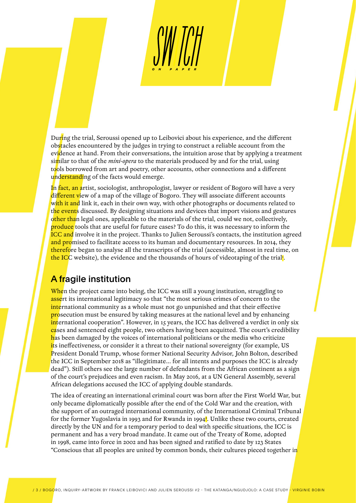During the trial, Seroussi opened up to Leibovici about his experience, and the different obstacles encountered by the judges in trying to construct a reliable account from the evidence at hand. From their conversations, the intuition arose that by applying a treatment similar to that of the *mini-opera* to the materials produced by and for the trial, using tools borrowed from art and poetry, other accounts, other connections and a different understanding of the facts would emerge.

In fact, an artist, sociologist, anthropologist, lawyer or resident of Bogoro will have a very different view of a map of the village of Bogoro. They will associate different accounts with it and link it, each in their own way, with other photographs or documents related to the events discussed. By designing situations and devices that import visions and gestures other than legal ones, applicable to the materials of the trial, could we not, collectively, produce tools that are useful for future cases? To do this, it was necessary to inform the ICC and involve it in the project. Thanks to Julien Seroussi's contacts, the institution agreed and promised to facilitate access to its human and documentary resources. In 2014, they therefore began to analyse all the transcripts of the trial (accessible, almost in real time, on the ICC website), the evidence and the thousands of hours of videotaping of the trial<mark>!</mark>.

#### A fragile institution

When the project came into being, the ICC was still a young institution, struggling to assert its international legitimacy so that "the most serious crimes of concern to the international community as a whole must not go unpunished and that their effective **prosecution must be ensured by taking measures at the national level and by enhancing** international cooperation". However, in 15 years, the ICC has delivered a verdict in only six cases and sentenced eight people, two others having been acquitted. The court's credibility has been damaged by the voices of international politicians or the media who criticize its ineffectiveness, or consider it a threat to their national sovereignty (for example, US President Donald Trump, whose former National Security Advisor, John Bolton, described the ICC in September 2018 as "illegitimate... for all intents and purposes the ICC is already dead"). Still others see the large number of defendants from the African continent as a sign of the court's prejudices and even racism. In May 2016, at a UN General Assembly, several African delegations accused the ICC of applying double standards.

The idea of creating an international criminal court was born after the First World War, but only became diplomatically possible after the end of the Cold War and the creation, with the support of an outraged international community, of the International Criminal Tribunal for the former Yugoslavia in 1993 and for Rwanda in 1994<mark>'</mark>. Unlike these two courts, created directly by the UN and for a temporary period to deal with specific situations, the ICC is permanent and has a very broad mandate. It came out of the Treaty of Rome, adopted in 1998, came into force in 2002 and has been signed and ratified to date by 123 States "Conscious that all peoples are united by common bonds, their cultures pieced together in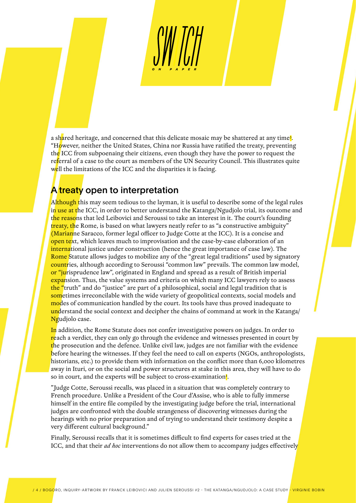a sh<mark>a</mark>red heritage, and concerned that this delicate mosaic may be shattered at any time<mark>3</mark>. "However, neither the United States, China nor Russia have ratified the treaty, preventing the ICC from subpoenaing their citizens, even though they have the power to request the referral of a case to the court as members of the UN Security Council. This illustrates quite well the limitations of the ICC and the disparities it is facing.

### A treaty open to interpretation

Although this may seem tedious to the layman, it is useful to describe some of the legal rules in use at the ICC, in order to better understand the Katanga/Ngudjolo trial, its outcome and the reasons that led Leibovici and Seroussi to take an interest in it. The court's founding treaty, the Rome, is based on what lawyers neatly refer to as "a constructive ambiguity" (Marianne Saracco, former legal officer to Judge Cotte at the ICC). It is a concise and open text, which leaves much to improvisation and the case-by-case elaboration of an international justice under construction (hence the great importance of case law). The Rome Statute allows judges to mobilize any of the "great legal traditions" used by signatory countries, although according to Seroussi "common law" prevails. The common law model, or "jurisprudence law", originated in England and spread as a result of British imperial expansion. Thus, the value systems and criteria on which many ICC lawyers rely to assess the "truth" and do "justice" are part of a philosophical, social and legal tradition that is sometimes irreconcilable with the wide variety of geopolitical contexts, social models and modes of communication handled by the court. Its tools have thus proved inadequate to understand the social context and decipher the chains of command at work in the Katanga/ Ngudjolo case.

In addition, the Rome Statute does not confer investigative powers on judges. In order to reach a verdict, they can only go through the evidence and witnesses presented in court by the prosecution and the defence. Unlike civil law, judges are not familiar with the evidence before hearing the witnesses. If they feel the need to call on experts (NGOs, anthropologists, historians, etc.) to provide them with information on the conflict more than 6,000 kilometres away in Ituri, or on the social and power structures at stake in this area, they will have to do so in court, and the experts will be subject to cross-examination<sup>2</sup>.

"Judge Cotte, Seroussi recalls, was placed in a situation that was completely contrary to French procedure. Unlike a President of the Cour d'Assise, who is able to fully immerse himself in the entire file compiled by the investigating judge before the trial, international judges are confronted with the double strangeness of discovering witnesses during the hearings with no prior preparation and of trying to understand their testimony despite a very different cultural background."

Finally, Seroussi recalls that it is sometimes difficult to find experts for cases tried at the ICC, and that their *ad hoc* interventions do not allow them to accompany judges effectively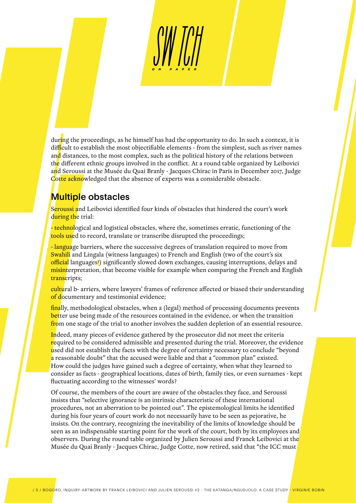during the proceedings, as he himself has had the opportunity to do. In such a context, it is difficult to establish the most objectifiable elements - from the simplest, such as river names and distances, to the most complex, such as the political history of the relations between the different ethnic groups involved in the conflict. At a round table organized by Leibovici and Seroussi at the Musée du Quai Branly - Jacques Chirac in Paris in December 2017, Judge Cotte acknowledged that the absence of experts was a considerable obstacle.

# Multiple obstacles

Seroussi and Leibovici identified four kinds of obstacles that hindered the court's work during the trial:

- technological and logistical obstacles, where the, sometimes erratic, functioning of the tools used to record, translate or transcribe disrupted the proceedings;

- language barriers, where the successive degrees of translation required to move from Swahili and Lingala (witness languages) to French and English (two of the court's six official languages<mark>)</mark> significantly slowed down exchanges, causing interruptions, delays and misinterpretation, that become visible for example when comparing the French and English transcripts;

cultural b- arriers, where lawyers' frames of reference affected or biased their understanding of documentary and testimonial evidence;

finally, methodological obstacles, when a (legal) method of processing documents prevents better use being made of the resources contained in the evidence, or when the transition from one stage of the trial to another involves the sudden depletion of an essential resource.

Indeed, many pieces of evidence gathered by the prosecutor did not meet the criteria required to be considered admissible and presented during the trial. Moreover, the evidence used did not establish the facts with the degree of certainty necessary to conclude "beyond a reasonable doubt" that the accused were liable and that a "common plan" existed. How could the judges have gained such a degree of certainty, when what they learned to consider as facts - geographical locations, dates of birth, family ties, or even surnames - kept fluctuating according to the witnesses' words?

Of course, the members of the court are aware of the obstacles they face, and Seroussi insists that "selective ignorance is an intrinsic characteristic of these international procedures, not an aberration to be pointed out". The epistemological limits he identified during his four years of court work do not necessarily have to be seen as pejorative, he insists. On the contrary, recognizing the inevitability of the limits of knowledge should be seen as an indispensable starting point for the work of the court, both by its employees and observers. During the round table organized by Julien Seroussi and Franck Leibovici at the Musée du Quai Branly - Jacques Chirac, Judge Cotte, now retired, said that "the ICC must